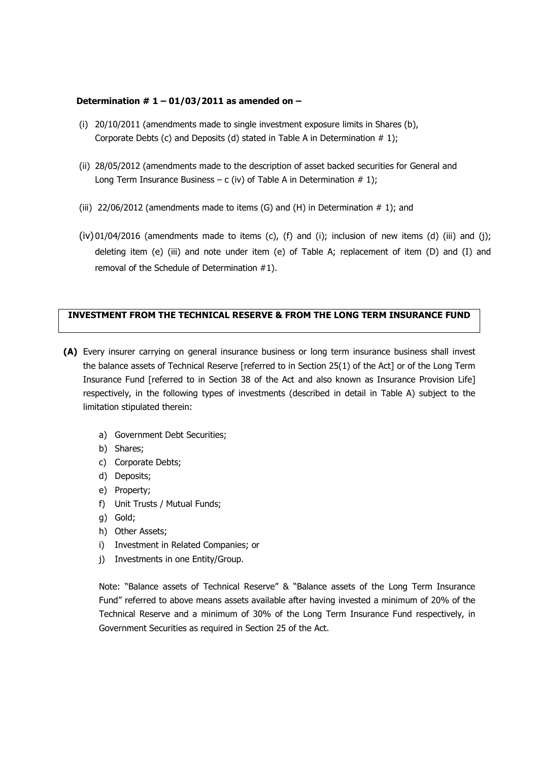## **Determination # 1 – 01/03/2011 as amended on –**

- (i) 20/10/2011 (amendments made to single investment exposure limits in Shares (b), Corporate Debts (c) and Deposits (d) stated in Table A in Determination  $# 1$ );
- (ii) 28/05/2012 (amendments made to the description of asset backed securities for General and Long Term Insurance Business – c (iv) of Table A in Determination  $# 1$ );
- (iii) 22/06/2012 (amendments made to items  $(G)$  and  $(H)$  in Determination  $# 1$ ); and
- $(iv)$  01/04/2016 (amendments made to items  $(c)$ ,  $(f)$  and  $(i)$ ; inclusion of new items  $(d)$   $(iii)$  and  $(j)$ ; deleting item (e) (iii) and note under item (e) of Table A; replacement of item (D) and (I) and removal of the Schedule of Determination #1).

## **INVESTMENT FROM THE TECHNICAL RESERVE & FROM THE LONG TERM INSURANCE FUND**

- **(A)** Every insurer carrying on general insurance business or long term insurance business shall invest the balance assets of Technical Reserve [referred to in Section 25(1) of the Act] or of the Long Term Insurance Fund [referred to in Section 38 of the Act and also known as Insurance Provision Life] respectively, in the following types of investments (described in detail in Table A) subject to the limitation stipulated therein:
	- a) Government Debt Securities;
	- b) Shares;
	- c) Corporate Debts;
	- d) Deposits;
	- e) Property;
	- f) Unit Trusts / Mutual Funds;
	- g) Gold;
	- h) Other Assets;
	- i) Investment in Related Companies; or
	- j) Investments in one Entity/Group.

Note: "Balance assets of Technical Reserve" & "Balance assets of the Long Term Insurance Fund" referred to above means assets available after having invested a minimum of 20% of the Technical Reserve and a minimum of 30% of the Long Term Insurance Fund respectively, in Government Securities as required in Section 25 of the Act.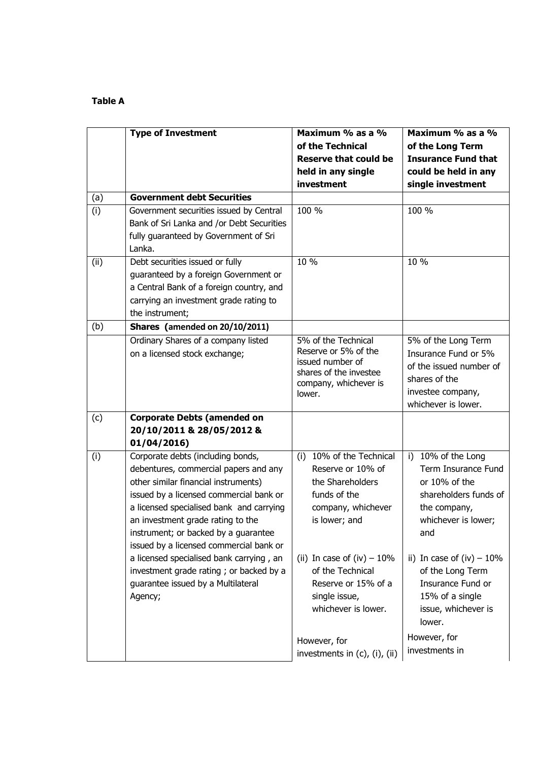## **Table A**

|      | <b>Type of Investment</b>                                                                                                                                                                                                                                                                                                                                                                                                                                      | Maximum % as a %<br>of the Technical<br><b>Reserve that could be</b><br>held in any single<br>investment                                                                                               | Maximum % as a %<br>of the Long Term<br><b>Insurance Fund that</b><br>could be held in any<br>single investment                                                                                               |
|------|----------------------------------------------------------------------------------------------------------------------------------------------------------------------------------------------------------------------------------------------------------------------------------------------------------------------------------------------------------------------------------------------------------------------------------------------------------------|--------------------------------------------------------------------------------------------------------------------------------------------------------------------------------------------------------|---------------------------------------------------------------------------------------------------------------------------------------------------------------------------------------------------------------|
| (a)  | <b>Government debt Securities</b>                                                                                                                                                                                                                                                                                                                                                                                                                              |                                                                                                                                                                                                        |                                                                                                                                                                                                               |
| (i)  | Government securities issued by Central<br>Bank of Sri Lanka and /or Debt Securities<br>fully guaranteed by Government of Sri<br>Lanka.                                                                                                                                                                                                                                                                                                                        | 100 %                                                                                                                                                                                                  | 100 %                                                                                                                                                                                                         |
| (ii) | Debt securities issued or fully<br>guaranteed by a foreign Government or<br>a Central Bank of a foreign country, and<br>carrying an investment grade rating to<br>the instrument;                                                                                                                                                                                                                                                                              | 10 %                                                                                                                                                                                                   | 10 %                                                                                                                                                                                                          |
| (b)  | Shares (amended on 20/10/2011)                                                                                                                                                                                                                                                                                                                                                                                                                                 |                                                                                                                                                                                                        |                                                                                                                                                                                                               |
|      | Ordinary Shares of a company listed<br>on a licensed stock exchange;                                                                                                                                                                                                                                                                                                                                                                                           | 5% of the Technical<br>Reserve or 5% of the<br>issued number of<br>shares of the investee<br>company, whichever is<br>lower.                                                                           | 5% of the Long Term<br>Insurance Fund or 5%<br>of the issued number of<br>shares of the<br>investee company,<br>whichever is lower.                                                                           |
| (c)  | <b>Corporate Debts (amended on</b><br>20/10/2011 & 28/05/2012 &<br>01/04/2016)                                                                                                                                                                                                                                                                                                                                                                                 |                                                                                                                                                                                                        |                                                                                                                                                                                                               |
| (i)  | Corporate debts (including bonds,<br>debentures, commercial papers and any<br>other similar financial instruments)<br>issued by a licensed commercial bank or<br>a licensed specialised bank and carrying<br>an investment grade rating to the<br>instrument; or backed by a guarantee<br>issued by a licensed commercial bank or<br>a licensed specialised bank carrying, an<br>investment grade rating; or backed by a<br>guarantee issued by a Multilateral | 10% of the Technical<br>(i)<br>Reserve or 10% of<br>the Shareholders<br>funds of the<br>company, whichever<br>is lower; and<br>(ii) In case of (iv) $-10\%$<br>of the Technical<br>Reserve or 15% of a | 10% of the Long<br>i)<br>Term Insurance Fund<br>or 10% of the<br>shareholders funds of<br>the company,<br>whichever is lower;<br>and<br>ii) In case of $(iv) - 10\%$<br>of the Long Term<br>Insurance Fund or |
|      | Agency;                                                                                                                                                                                                                                                                                                                                                                                                                                                        | single issue,<br>whichever is lower.                                                                                                                                                                   | 15% of a single<br>issue, whichever is<br>lower.<br>However, for                                                                                                                                              |
|      |                                                                                                                                                                                                                                                                                                                                                                                                                                                                | However, for<br>investments in (c), (i), (ii)                                                                                                                                                          | investments in                                                                                                                                                                                                |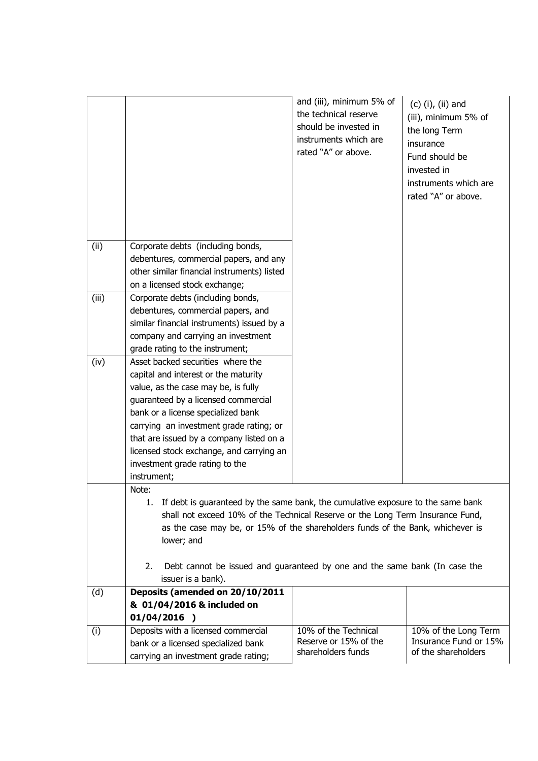|       |                                                                                                                                                                                                                                                                                                                                                                                   | and (iii), minimum 5% of<br>the technical reserve<br>should be invested in<br>instruments which are<br>rated "A" or above. | $(c)$ (i), (ii) and<br>(iii), minimum 5% of<br>the long Term<br>insurance<br>Fund should be<br>invested in<br>instruments which are<br>rated "A" or above. |  |
|-------|-----------------------------------------------------------------------------------------------------------------------------------------------------------------------------------------------------------------------------------------------------------------------------------------------------------------------------------------------------------------------------------|----------------------------------------------------------------------------------------------------------------------------|------------------------------------------------------------------------------------------------------------------------------------------------------------|--|
| (ii)  | Corporate debts (including bonds,<br>debentures, commercial papers, and any<br>other similar financial instruments) listed<br>on a licensed stock exchange;                                                                                                                                                                                                                       |                                                                                                                            |                                                                                                                                                            |  |
| (iii) | Corporate debts (including bonds,<br>debentures, commercial papers, and<br>similar financial instruments) issued by a<br>company and carrying an investment<br>grade rating to the instrument;                                                                                                                                                                                    |                                                                                                                            |                                                                                                                                                            |  |
| (iv)  | Asset backed securities where the<br>capital and interest or the maturity<br>value, as the case may be, is fully<br>guaranteed by a licensed commercial<br>bank or a license specialized bank<br>carrying an investment grade rating; or<br>that are issued by a company listed on a<br>licensed stock exchange, and carrying an<br>investment grade rating to the<br>instrument; |                                                                                                                            |                                                                                                                                                            |  |
|       | Note:<br>1. If debt is guaranteed by the same bank, the cumulative exposure to the same bank<br>shall not exceed 10% of the Technical Reserve or the Long Term Insurance Fund,<br>as the case may be, or 15% of the shareholders funds of the Bank, whichever is<br>lower; and<br>Debt cannot be issued and guaranteed by one and the same bank (In case the                      |                                                                                                                            |                                                                                                                                                            |  |
|       | 2.<br>issuer is a bank).                                                                                                                                                                                                                                                                                                                                                          |                                                                                                                            |                                                                                                                                                            |  |
| (d)   | Deposits (amended on 20/10/2011<br>& 01/04/2016 & included on<br>$01/04/2016$ )                                                                                                                                                                                                                                                                                                   |                                                                                                                            |                                                                                                                                                            |  |
| (i)   | Deposits with a licensed commercial<br>bank or a licensed specialized bank<br>carrying an investment grade rating;                                                                                                                                                                                                                                                                | 10% of the Technical<br>Reserve or 15% of the<br>shareholders funds                                                        | 10% of the Long Term<br>Insurance Fund or 15%<br>of the shareholders                                                                                       |  |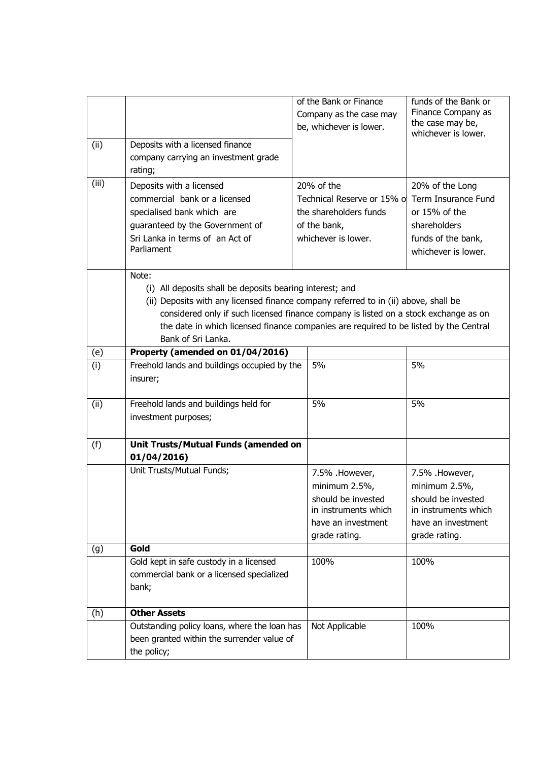| (ii)  | Deposits with a licensed finance<br>company carrying an investment grade<br>rating;                                                                                                                                                                                                                                                                             | of the Bank or Finance<br>Company as the case may<br>be, whichever is lower.                                         | funds of the Bank or<br>Finance Company as<br>the case may be,<br>whichever is lower.                                |  |  |
|-------|-----------------------------------------------------------------------------------------------------------------------------------------------------------------------------------------------------------------------------------------------------------------------------------------------------------------------------------------------------------------|----------------------------------------------------------------------------------------------------------------------|----------------------------------------------------------------------------------------------------------------------|--|--|
| (iii) | Deposits with a licensed<br>commercial bank or a licensed<br>specialised bank which are<br>guaranteed by the Government of<br>Sri Lanka in terms of an Act of<br>Parliament                                                                                                                                                                                     | 20% of the<br>Technical Reserve or 15% of<br>the shareholders funds<br>of the bank,<br>whichever is lower.           | 20% of the Long<br>Term Insurance Fund<br>or 15% of the<br>shareholders<br>funds of the bank,<br>whichever is lower. |  |  |
|       | Note:<br>(i) All deposits shall be deposits bearing interest; and<br>(ii) Deposits with any licensed finance company referred to in (ii) above, shall be<br>considered only if such licensed finance company is listed on a stock exchange as on<br>the date in which licensed finance companies are required to be listed by the Central<br>Bank of Sri Lanka. |                                                                                                                      |                                                                                                                      |  |  |
| (e)   | Property (amended on 01/04/2016)                                                                                                                                                                                                                                                                                                                                |                                                                                                                      |                                                                                                                      |  |  |
| (i)   | Freehold lands and buildings occupied by the<br>insurer;                                                                                                                                                                                                                                                                                                        | 5%                                                                                                                   | 5%                                                                                                                   |  |  |
| (ii)  | Freehold lands and buildings held for<br>investment purposes;                                                                                                                                                                                                                                                                                                   | 5%                                                                                                                   | 5%                                                                                                                   |  |  |
| (f)   | Unit Trusts/Mutual Funds (amended on<br>01/04/2016                                                                                                                                                                                                                                                                                                              |                                                                                                                      |                                                                                                                      |  |  |
|       | Unit Trusts/Mutual Funds;                                                                                                                                                                                                                                                                                                                                       | 7.5% .However,<br>minimum 2.5%,<br>should be invested<br>in instruments which<br>have an investment<br>grade rating. | 7.5% .However,<br>minimum 2.5%,<br>should be invested<br>in instruments which<br>have an investment<br>grade rating. |  |  |
| (g)   | Gold                                                                                                                                                                                                                                                                                                                                                            |                                                                                                                      |                                                                                                                      |  |  |
|       | Gold kept in safe custody in a licensed<br>commercial bank or a licensed specialized<br>bank;                                                                                                                                                                                                                                                                   | 100%                                                                                                                 | 100%                                                                                                                 |  |  |
| (h)   | <b>Other Assets</b>                                                                                                                                                                                                                                                                                                                                             |                                                                                                                      |                                                                                                                      |  |  |
|       | Outstanding policy loans, where the loan has<br>been granted within the surrender value of<br>the policy;                                                                                                                                                                                                                                                       | Not Applicable                                                                                                       | 100%                                                                                                                 |  |  |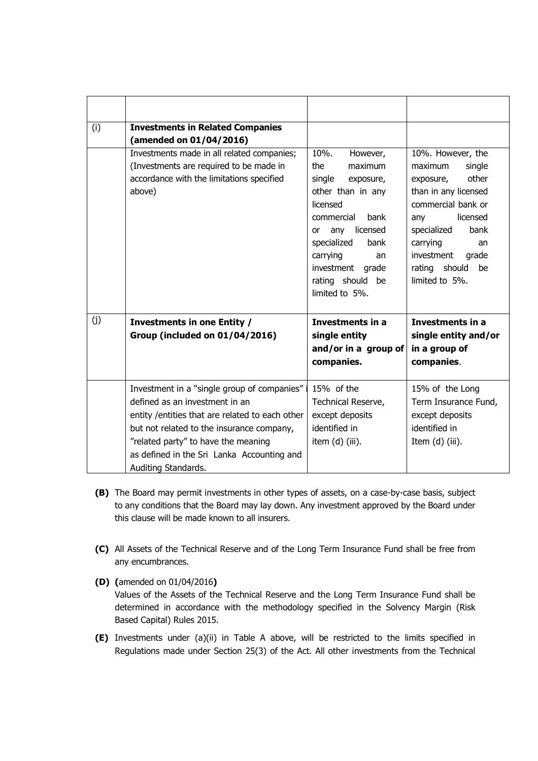| (i) | <b>Investments in Related Companies</b>          |                       |                        |
|-----|--------------------------------------------------|-----------------------|------------------------|
|     | (amended on 01/04/2016)                          |                       |                        |
|     | Investments made in all related companies;       | 10%.<br>However,      | 10%. However, the      |
|     | (Investments are required to be made in          | the<br>maximum        | maximum<br>single      |
|     | accordance with the limitations specified        | single<br>exposure,   | other<br>exposure,     |
|     | above)                                           | other than in any     | than in any licensed   |
|     |                                                  | licensed              | commercial bank or     |
|     |                                                  | bank<br>commercial    | licensed<br>any        |
|     |                                                  | licensed<br>any<br>or | bank<br>specialized    |
|     |                                                  | specialized<br>bank   | carrying<br>an         |
|     |                                                  | carrying<br>an        | investment<br>grade    |
|     |                                                  | investment<br>grade   | should<br>rating<br>be |
|     |                                                  | rating should<br>be   | limited to 5%.         |
|     |                                                  | limited to 5%.        |                        |
|     |                                                  |                       |                        |
| (j) | <b>Investments in one Entity /</b>               | Investments in a      | Investments in a       |
|     | <b>Group (included on 01/04/2016)</b>            | single entity         | single entity and/or   |
|     |                                                  | and/or in a group of  | in a group of          |
|     |                                                  | companies.            | companies.             |
|     |                                                  |                       |                        |
|     | Investment in a "single group of companies"      | 15% of the            | 15% of the Long        |
|     | defined as an investment in an                   | Technical Reserve,    | Term Insurance Fund,   |
|     | entity / entities that are related to each other | except deposits       | except deposits        |
|     | but not related to the insurance company,        | identified in         | identified in          |
|     | "related party" to have the meaning              | item (d) (iii).       | Item $(d)$ (iii).      |
|     | as defined in the Sri Lanka Accounting and       |                       |                        |
|     | Auditing Standards.                              |                       |                        |

- **(B)** The Board may permit investments in other types of assets, on a case-by-case basis, subject to any conditions that the Board may lay down. Any investment approved by the Board under this clause will be made known to all insurers.
- **(C)** All Assets of the Technical Reserve and of the Long Term Insurance Fund shall be free from any encumbrances.
- **(D) (**amended on 01/04/2016**)** Values of the Assets of the Technical Reserve and the Long Term Insurance Fund shall be determined in accordance with the methodology specified in the Solvency Margin (Risk Based Capital) Rules 2015.
- **(E)** Investments under (a)(ii) in Table A above, will be restricted to the limits specified in Regulations made under Section 25(3) of the Act. All other investments from the Technical